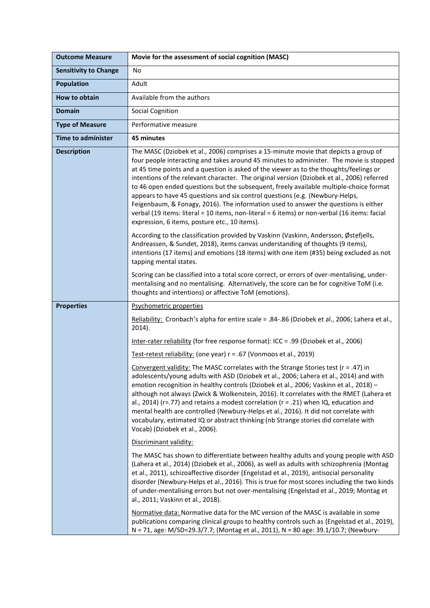| <b>Outcome Measure</b>       | Movie for the assessment of social cognition (MASC)                                                                                                                                                                                                                                                                                                                                                                                                                                                                                                                                                                                                                                                                                                                                                                                                                              |
|------------------------------|----------------------------------------------------------------------------------------------------------------------------------------------------------------------------------------------------------------------------------------------------------------------------------------------------------------------------------------------------------------------------------------------------------------------------------------------------------------------------------------------------------------------------------------------------------------------------------------------------------------------------------------------------------------------------------------------------------------------------------------------------------------------------------------------------------------------------------------------------------------------------------|
| <b>Sensitivity to Change</b> | No                                                                                                                                                                                                                                                                                                                                                                                                                                                                                                                                                                                                                                                                                                                                                                                                                                                                               |
| <b>Population</b>            | Adult                                                                                                                                                                                                                                                                                                                                                                                                                                                                                                                                                                                                                                                                                                                                                                                                                                                                            |
| How to obtain                | Available from the authors                                                                                                                                                                                                                                                                                                                                                                                                                                                                                                                                                                                                                                                                                                                                                                                                                                                       |
| <b>Domain</b>                | <b>Social Cognition</b>                                                                                                                                                                                                                                                                                                                                                                                                                                                                                                                                                                                                                                                                                                                                                                                                                                                          |
| <b>Type of Measure</b>       | Performative measure                                                                                                                                                                                                                                                                                                                                                                                                                                                                                                                                                                                                                                                                                                                                                                                                                                                             |
| <b>Time to administer</b>    | 45 minutes                                                                                                                                                                                                                                                                                                                                                                                                                                                                                                                                                                                                                                                                                                                                                                                                                                                                       |
| <b>Description</b>           | The MASC (Dziobek et al., 2006) comprises a 15-minute movie that depicts a group of<br>four people interacting and takes around 45 minutes to administer. The movie is stopped<br>at 45 time points and a question is asked of the viewer as to the thoughts/feelings or<br>intentions of the relevant character. The original version (Dziobek et al., 2006) referred<br>to 46 open ended questions but the subsequent, freely available multiple-choice format<br>appears to have 45 questions and six control questions (e.g. (Newbury-Helps,<br>Feigenbaum, & Fonagy, 2016). The information used to answer the questions is either<br>verbal (19 items: literal = 10 items, non-literal = 6 items) or non-verbal (16 items: facial<br>expression, 6 items, posture etc., 10 items).<br>According to the classification provided by Vaskinn (Vaskinn, Andersson, Østefjells, |
|                              | Andreassen, & Sundet, 2018), items canvas understanding of thoughts (9 items),<br>intentions (17 items) and emotions (18 items) with one item (#35) being excluded as not<br>tapping mental states.                                                                                                                                                                                                                                                                                                                                                                                                                                                                                                                                                                                                                                                                              |
|                              | Scoring can be classified into a total score correct, or errors of over-mentalising, under-<br>mentalising and no mentalising. Alternatively, the score can be for cognitive ToM (i.e.<br>thoughts and intentions) or affective ToM (emotions).                                                                                                                                                                                                                                                                                                                                                                                                                                                                                                                                                                                                                                  |
| <b>Properties</b>            | Psychometric properties                                                                                                                                                                                                                                                                                                                                                                                                                                                                                                                                                                                                                                                                                                                                                                                                                                                          |
|                              | Reliability: Cronbach's alpha for entire scale = .84-.86 (Dziobek et al., 2006; Lahera et al.,<br>$2014$ ).                                                                                                                                                                                                                                                                                                                                                                                                                                                                                                                                                                                                                                                                                                                                                                      |
|                              | Inter-rater reliability (for free response format): ICC = .99 (Dziobek et al., 2006)                                                                                                                                                                                                                                                                                                                                                                                                                                                                                                                                                                                                                                                                                                                                                                                             |
|                              | Test-retest reliability: (one year) r = .67 (Vonmoos et al., 2019)                                                                                                                                                                                                                                                                                                                                                                                                                                                                                                                                                                                                                                                                                                                                                                                                               |
|                              | Convergent validity: The MASC correlates with the Strange Stories test (r = .47) in<br>adolescents/young adults with ASD (Dziobek et al., 2006; Lahera et al., 2014) and with<br>emotion recognition in healthy controls (Dziobek et al., 2006; Vaskinn et al., 2018) -<br>although not always (Zwick & Wolkenstein, 2016). It correlates with the RMET (Lahera et<br>al., 2014) (r=.77) and retains a modest correlation (r = .21) when IQ, education and<br>mental health are controlled (Newbury-Helps et al., 2016). It did not correlate with<br>vocabulary, estimated IQ or abstract thinking (nb Strange stories did correlate with<br>Vocab) (Dziobek et al., 2006).                                                                                                                                                                                                     |
|                              | Discriminant validity:                                                                                                                                                                                                                                                                                                                                                                                                                                                                                                                                                                                                                                                                                                                                                                                                                                                           |
|                              | The MASC has shown to differentiate between healthy adults and young people with ASD<br>(Lahera et al., 2014) (Dziobek et al., 2006), as well as adults with schizophrenia (Montag<br>et al., 2011), schizoaffective disorder (Engelstad et al., 2019), antisocial personality<br>disorder (Newbury-Helps et al., 2016). This is true for most scores including the two kinds<br>of under-mentalising errors but not over-mentalising (Engelstad et al., 2019; Montag et<br>al., 2011; Vaskinn et al., 2018).                                                                                                                                                                                                                                                                                                                                                                    |
|                              | Normative data: Normative data for the MC version of the MASC is available in some<br>publications comparing clinical groups to healthy controls such as (Engelstad et al., 2019),<br>N = 71, age: M/SD=29.3/7.7; (Montag et al., 2011), N = 80 age: 39.1/10.7; (Newbury-                                                                                                                                                                                                                                                                                                                                                                                                                                                                                                                                                                                                        |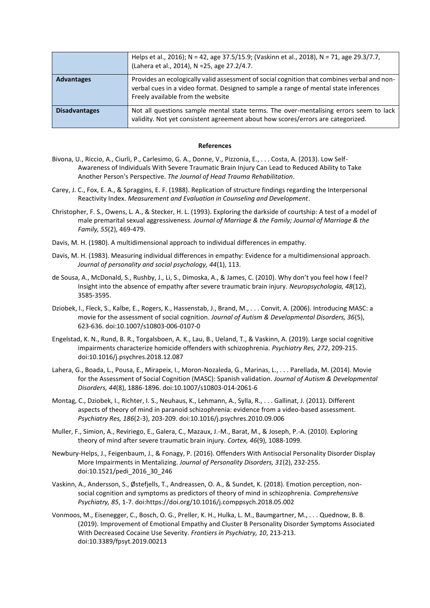|                      | Helps et al., 2016); N = 42, age 37.5/15.9; (Vaskinn et al., 2018), N = 71, age 29.3/7.7,<br>(Lahera et al., 2014), N = 25, age 27.2/4.7.                                                                                |
|----------------------|--------------------------------------------------------------------------------------------------------------------------------------------------------------------------------------------------------------------------|
| <b>Advantages</b>    | Provides an ecologically valid assessment of social cognition that combines verbal and non-<br>verbal cues in a video format. Designed to sample a range of mental state inferences<br>Freely available from the website |
| <b>Disadvantages</b> | Not all questions sample mental state terms. The over-mentalising errors seem to lack<br>validity. Not yet consistent agreement about how scores/errors are categorized.                                                 |

## **References**

- Bivona, U., Riccio, A., Ciurli, P., Carlesimo, G. A., Donne, V., Pizzonia, E., . . . Costa, A. (2013). Low Self-Awareness of Individuals With Severe Traumatic Brain Injury Can Lead to Reduced Ability to Take Another Person's Perspective. *The Journal of Head Trauma Rehabilitation*.
- Carey, J. C., Fox, E. A., & Spraggins, E. F. (1988). Replication of structure findings regarding the Interpersonal Reactivity Index. *Measurement and Evaluation in Counseling and Development*.
- Christopher, F. S., Owens, L. A., & Stecker, H. L. (1993). Exploring the darkside of courtship: A test of a model of male premarital sexual aggressiveness. *Journal of Marriage & the Family; Journal of Marriage & the Family, 55*(2), 469-479.
- Davis, M. H. (1980). A multidimensional approach to individual differences in empathy.
- Davis, M. H. (1983). Measuring individual differences in empathy: Evidence for a multidimensional approach. *Journal of personality and social psychology, 44*(1), 113.
- de Sousa, A., McDonald, S., Rushby, J., Li, S., Dimoska, A., & James, C. (2010). Why don't you feel how I feel? Insight into the absence of empathy after severe traumatic brain injury. *Neuropsychologia, 48*(12), 3585-3595.
- Dziobek, I., Fleck, S., Kalbe, E., Rogers, K., Hassenstab, J., Brand, M., . . . Convit, A. (2006). Introducing MASC: a movie for the assessment of social cognition. *Journal of Autism & Developmental Disorders, 36*(5), 623-636. doi:10.1007/s10803-006-0107-0
- Engelstad, K. N., Rund, B. R., Torgalsboen, A. K., Lau, B., Ueland, T., & Vaskinn, A. (2019). Large social cognitive impairments characterize homicide offenders with schizophrenia. *Psychiatry Res, 272*, 209-215. doi:10.1016/j.psychres.2018.12.087
- Lahera, G., Boada, L., Pousa, E., Mirapeix, I., Moron-Nozaleda, G., Marinas, L., . . . Parellada, M. (2014). Movie for the Assessment of Social Cognition (MASC): Spanish validation. *Journal of Autism & Developmental Disorders, 44*(8), 1886-1896. doi:10.1007/s10803-014-2061-6
- Montag, C., Dziobek, I., Richter, I. S., Neuhaus, K., Lehmann, A., Sylla, R., . . . Gallinat, J. (2011). Different aspects of theory of mind in paranoid schizophrenia: evidence from a video-based assessment. *Psychiatry Res, 186*(2-3), 203-209. doi:10.1016/j.psychres.2010.09.006
- Muller, F., Simion, A., Reviriego, E., Galera, C., Mazaux, J.-M., Barat, M., & Joseph, P.-A. (2010). Exploring theory of mind after severe traumatic brain injury. *Cortex, 46*(9), 1088-1099.
- Newbury-Helps, J., Feigenbaum, J., & Fonagy, P. (2016). Offenders With Antisocial Personality Disorder Display More Impairments in Mentalizing. *Journal of Personality Disorders, 31*(2), 232-255. doi:10.1521/pedi\_2016\_30\_246
- Vaskinn, A., Andersson, S., Østefjells, T., Andreassen, O. A., & Sundet, K. (2018). Emotion perception, nonsocial cognition and symptoms as predictors of theory of mind in schizophrenia. *Comprehensive Psychiatry, 85*, 1-7. doi:https://doi.org/10.1016/j.comppsych.2018.05.002
- Vonmoos, M., Eisenegger, C., Bosch, O. G., Preller, K. H., Hulka, L. M., Baumgartner, M., . . . Quednow, B. B. (2019). Improvement of Emotional Empathy and Cluster B Personality Disorder Symptoms Associated With Decreased Cocaine Use Severity. *Frontiers in Psychiatry, 10*, 213-213. doi:10.3389/fpsyt.2019.00213